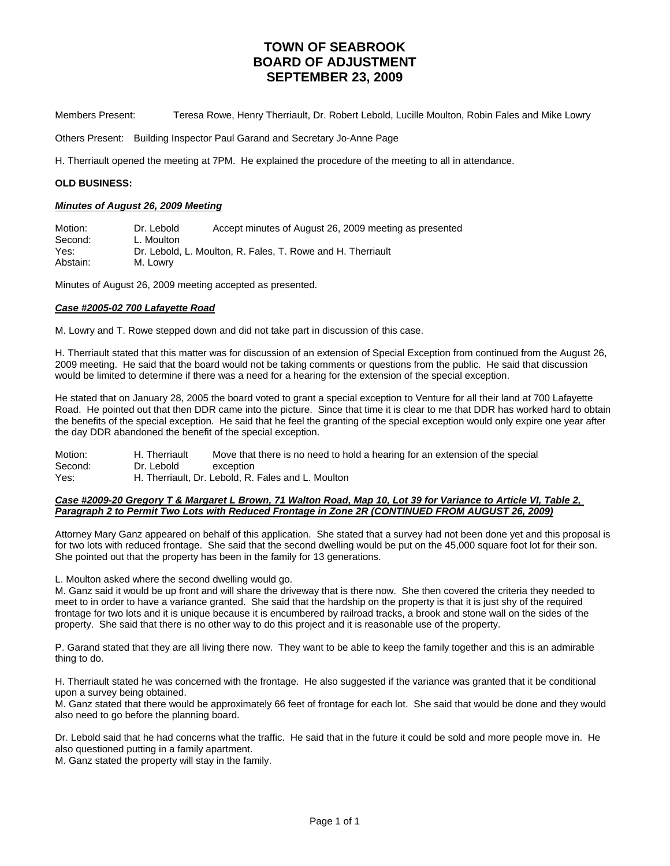Members Present: Teresa Rowe, Henry Therriault, Dr. Robert Lebold, Lucille Moulton, Robin Fales and Mike Lowry

Others Present: Building Inspector Paul Garand and Secretary Jo-Anne Page

H. Therriault opened the meeting at 7PM. He explained the procedure of the meeting to all in attendance.

### **OLD BUSINESS:**

#### *Minutes of August 26, 2009 Meeting*

Motion: Dr. Lebold Accept minutes of August 26, 2009 meeting as presented Second: L. Moulton Yes: Dr. Lebold, L. Moulton, R. Fales, T. Rowe and H. Therriault Abstain: M. Lowry

Minutes of August 26, 2009 meeting accepted as presented.

#### *Case #2005-02 700 Lafayette Road*

M. Lowry and T. Rowe stepped down and did not take part in discussion of this case.

H. Therriault stated that this matter was for discussion of an extension of Special Exception from continued from the August 26, 2009 meeting. He said that the board would not be taking comments or questions from the public. He said that discussion would be limited to determine if there was a need for a hearing for the extension of the special exception.

He stated that on January 28, 2005 the board voted to grant a special exception to Venture for all their land at 700 Lafayette Road. He pointed out that then DDR came into the picture. Since that time it is clear to me that DDR has worked hard to obtain the benefits of the special exception. He said that he feel the granting of the special exception would only expire one year after the day DDR abandoned the benefit of the special exception.

| Motion: | H. Therriault | Move that there is no need to hold a hearing for an extension of the special |
|---------|---------------|------------------------------------------------------------------------------|
| Second: | Dr. Lebold    | exception                                                                    |
| Yes:    |               | H. Therriault, Dr. Lebold, R. Fales and L. Moulton                           |

#### *Case #2009-20 Gregory T & Margaret L Brown, 71 Walton Road, Map 10, Lot 39 for Variance to Article VI, Table 2, Paragraph 2 to Permit Two Lots with Reduced Frontage in Zone 2R (CONTINUED FROM AUGUST 26, 2009)*

Attorney Mary Ganz appeared on behalf of this application. She stated that a survey had not been done yet and this proposal is for two lots with reduced frontage. She said that the second dwelling would be put on the 45,000 square foot lot for their son. She pointed out that the property has been in the family for 13 generations.

L. Moulton asked where the second dwelling would go.

M. Ganz said it would be up front and will share the driveway that is there now. She then covered the criteria they needed to meet to in order to have a variance granted. She said that the hardship on the property is that it is just shy of the required frontage for two lots and it is unique because it is encumbered by railroad tracks, a brook and stone wall on the sides of the property. She said that there is no other way to do this project and it is reasonable use of the property.

P. Garand stated that they are all living there now. They want to be able to keep the family together and this is an admirable thing to do.

H. Therriault stated he was concerned with the frontage. He also suggested if the variance was granted that it be conditional upon a survey being obtained.

M. Ganz stated that there would be approximately 66 feet of frontage for each lot. She said that would be done and they would also need to go before the planning board.

Dr. Lebold said that he had concerns what the traffic. He said that in the future it could be sold and more people move in. He also questioned putting in a family apartment.

M. Ganz stated the property will stay in the family.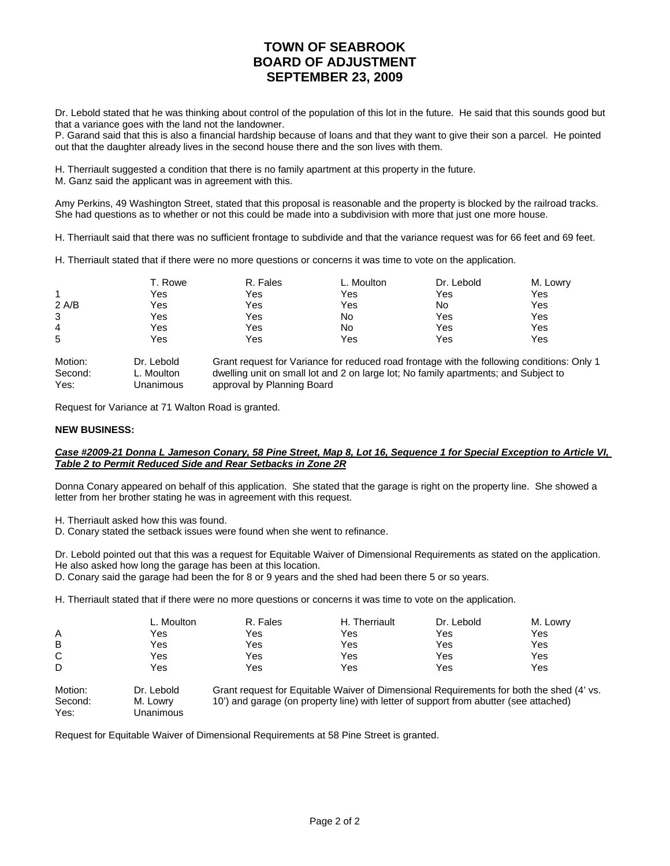Dr. Lebold stated that he was thinking about control of the population of this lot in the future. He said that this sounds good but that a variance goes with the land not the landowner.

P. Garand said that this is also a financial hardship because of loans and that they want to give their son a parcel. He pointed out that the daughter already lives in the second house there and the son lives with them.

H. Therriault suggested a condition that there is no family apartment at this property in the future.

M. Ganz said the applicant was in agreement with this.

Amy Perkins, 49 Washington Street, stated that this proposal is reasonable and the property is blocked by the railroad tracks. She had questions as to whether or not this could be made into a subdivision with more that just one more house.

H. Therriault said that there was no sufficient frontage to subdivide and that the variance request was for 66 feet and 69 feet.

H. Therriault stated that if there were no more questions or concerns it was time to vote on the application.

|       | T. Rowe | R. Fales | L. Moulton | Dr. Lebold | M. Lowry |
|-------|---------|----------|------------|------------|----------|
|       | Yes     | Yes      | Yes        | Yes        | Yes      |
| 2 A/B | Yes     | Yes      | Yes        | No         | Yes      |
| 3     | Yes     | Yes      | No         | Yes        | Yes      |
| 4     | Yes     | Yes      | No         | Yes        | Yes      |
| 5     | Yes     | Yes      | Yes        | Yes        | Yes      |
|       |         |          |            |            |          |

| Motion: | Dr. Lebold | Grant request for Variance for reduced road frontage with the following conditions: Only 1 |
|---------|------------|--------------------------------------------------------------------------------------------|
| Second: | ∟. Moulton | dwelling unit on small lot and 2 on large lot; No family apartments; and Subject to        |
| Yes:    | Unanimous  | approval by Planning Board                                                                 |

Request for Variance at 71 Walton Road is granted.

### **NEW BUSINESS:**

## *Case #2009-21 Donna L Jameson Conary, 58 Pine Street, Map 8, Lot 16, Sequence 1 for Special Exception to Article VI, Table 2 to Permit Reduced Side and Rear Setbacks in Zone 2R*

Donna Conary appeared on behalf of this application. She stated that the garage is right on the property line. She showed a letter from her brother stating he was in agreement with this request.

- H. Therriault asked how this was found.
- D. Conary stated the setback issues were found when she went to refinance.

Dr. Lebold pointed out that this was a request for Equitable Waiver of Dimensional Requirements as stated on the application. He also asked how long the garage has been at this location.

D. Conary said the garage had been the for 8 or 9 years and the shed had been there 5 or so years.

H. Therriault stated that if there were no more questions or concerns it was time to vote on the application.

|              | L. Moulton | R. Fales | H. Therriault                                                                                                                                                                                                                           | Dr. Lebold | M. Lowry |
|--------------|------------|----------|-----------------------------------------------------------------------------------------------------------------------------------------------------------------------------------------------------------------------------------------|------------|----------|
| A            | Yes        | Yes      | Yes                                                                                                                                                                                                                                     | Yes        | Yes      |
| B            | Yes        | Yes      | Yes                                                                                                                                                                                                                                     | Yes        | Yes      |
| C            | Yes        | Yes      | Yes                                                                                                                                                                                                                                     | Yes        | Yes      |
| D            | Yes        | Yes      | Yes                                                                                                                                                                                                                                     | Yes        | Yes      |
| $\mathbf{A}$ |            |          | $\bullet$ . If $\bullet$ is the state of the state of the state of the state of the state of the state of the state of the state of the state of the state of the state of the state of the state of the state of the state of the stat |            |          |

Motion: Dr. Lebold Grant request for Equitable Waiver of Dimensional Requirements for both the shed (4' vs. Second: M. Lowry 10') and garage (on property line) with letter of support from abutter (see attached) Yes: Unanimous

Request for Equitable Waiver of Dimensional Requirements at 58 Pine Street is granted.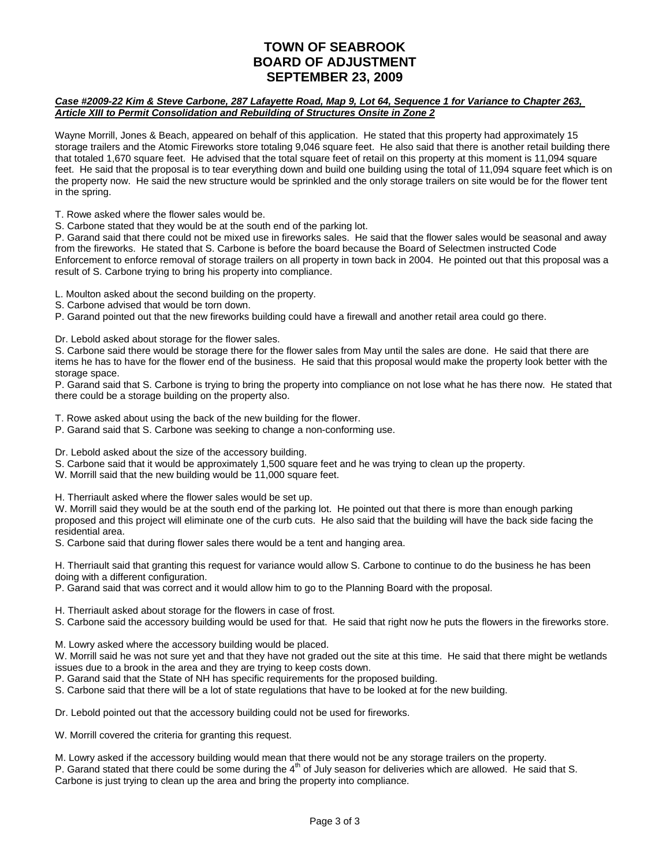## *Case #2009-22 Kim & Steve Carbone, 287 Lafayette Road, Map 9, Lot 64, Sequence 1 for Variance to Chapter 263, Article XIII to Permit Consolidation and Rebuilding of Structures Onsite in Zone 2*

Wayne Morrill, Jones & Beach, appeared on behalf of this application. He stated that this property had approximately 15 storage trailers and the Atomic Fireworks store totaling 9,046 square feet. He also said that there is another retail building there that totaled 1,670 square feet. He advised that the total square feet of retail on this property at this moment is 11,094 square feet. He said that the proposal is to tear everything down and build one building using the total of 11,094 square feet which is on the property now. He said the new structure would be sprinkled and the only storage trailers on site would be for the flower tent in the spring.

T. Rowe asked where the flower sales would be.

S. Carbone stated that they would be at the south end of the parking lot.

P. Garand said that there could not be mixed use in fireworks sales. He said that the flower sales would be seasonal and away from the fireworks. He stated that S. Carbone is before the board because the Board of Selectmen instructed Code Enforcement to enforce removal of storage trailers on all property in town back in 2004. He pointed out that this proposal was a result of S. Carbone trying to bring his property into compliance.

L. Moulton asked about the second building on the property.

S. Carbone advised that would be torn down.

P. Garand pointed out that the new fireworks building could have a firewall and another retail area could go there.

Dr. Lebold asked about storage for the flower sales.

S. Carbone said there would be storage there for the flower sales from May until the sales are done. He said that there are items he has to have for the flower end of the business. He said that this proposal would make the property look better with the storage space.

P. Garand said that S. Carbone is trying to bring the property into compliance on not lose what he has there now. He stated that there could be a storage building on the property also.

T. Rowe asked about using the back of the new building for the flower.

P. Garand said that S. Carbone was seeking to change a non-conforming use.

Dr. Lebold asked about the size of the accessory building.

S. Carbone said that it would be approximately 1,500 square feet and he was trying to clean up the property.

W. Morrill said that the new building would be 11,000 square feet.

H. Therriault asked where the flower sales would be set up.

W. Morrill said they would be at the south end of the parking lot. He pointed out that there is more than enough parking proposed and this project will eliminate one of the curb cuts. He also said that the building will have the back side facing the residential area.

S. Carbone said that during flower sales there would be a tent and hanging area.

H. Therriault said that granting this request for variance would allow S. Carbone to continue to do the business he has been doing with a different configuration.

P. Garand said that was correct and it would allow him to go to the Planning Board with the proposal.

H. Therriault asked about storage for the flowers in case of frost.

S. Carbone said the accessory building would be used for that. He said that right now he puts the flowers in the fireworks store.

M. Lowry asked where the accessory building would be placed.

W. Morrill said he was not sure yet and that they have not graded out the site at this time. He said that there might be wetlands issues due to a brook in the area and they are trying to keep costs down.

P. Garand said that the State of NH has specific requirements for the proposed building.

S. Carbone said that there will be a lot of state regulations that have to be looked at for the new building.

Dr. Lebold pointed out that the accessory building could not be used for fireworks.

W. Morrill covered the criteria for granting this request.

M. Lowry asked if the accessory building would mean that there would not be any storage trailers on the property.

P. Garand stated that there could be some during the 4<sup>th</sup> of July season for deliveries which are allowed. He said that S. Carbone is just trying to clean up the area and bring the property into compliance.